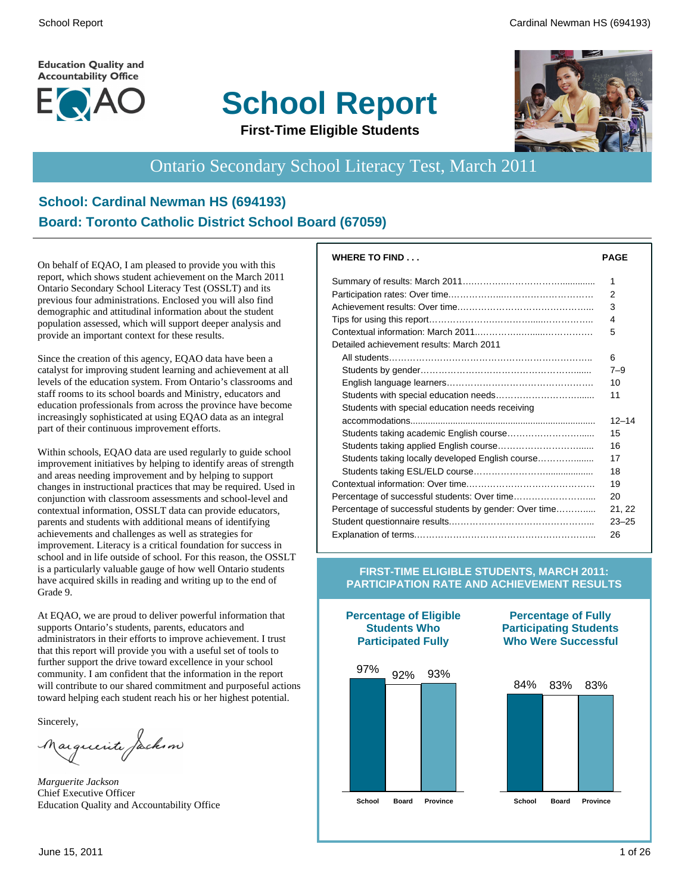**Education Quality and Accountability Office** 



# **School Report**



**First-Time Eligible Students**

# Ontario Secondary School Literacy Test, March 2011

#### **School: Cardinal Newman HS (694193) Board: Toronto Catholic District School Board (67059)**

On behalf of EQAO, I am pleased to provide you with this report, which shows student achievement on the March 2011 Ontario Secondary School Literacy Test (OSSLT) and its previous four administrations. Enclosed you will also find demographic and attitudinal information about the student population assessed, which will support deeper analysis and provide an important context for these results.

Since the creation of this agency, EQAO data have been a catalyst for improving student learning and achievement at all levels of the education system. From Ontario's classrooms and staff rooms to its school boards and Ministry, educators and education professionals from across the province have become increasingly sophisticated at using EQAO data as an integral part of their continuous improvement efforts.

Within schools, EQAO data are used regularly to guide school improvement initiatives by helping to identify areas of strength and areas needing improvement and by helping to support changes in instructional practices that may be required. Used in conjunction with classroom assessments and school-level and contextual information, OSSLT data can provide educators, parents and students with additional means of identifying achievements and challenges as well as strategies for improvement. Literacy is a critical foundation for success in school and in life outside of school. For this reason, the OSSLT is a particularly valuable gauge of how well Ontario students have acquired skills in reading and writing up to the end of Grade 9.

At EQAO, we are proud to deliver powerful information that supports Ontario's students, parents, educators and administrators in their efforts to improve achievement. I trust that this report will provide you with a useful set of tools to further support the drive toward excellence in your school community. I am confident that the information in the report will contribute to our shared commitment and purposeful actions toward helping each student reach his or her highest potential.

Sincerely,

auguerite factum

*Marguerite Jackson* Chief Executive Officer Education Quality and Accountability Office

| <b>PAGE</b>    |
|----------------|
| 1              |
| $\overline{2}$ |
| 3              |
| 4              |
| 5              |
|                |
| 6              |
| $7 - 9$        |
| 10             |
| 11             |
|                |
| $12 - 14$      |
| 15             |
| 16             |
| 17             |
| 18             |
| 19             |
| 20             |
| 21, 22         |
| $23 - 25$      |
| 26             |
|                |

#### **FIRST-TIME ELIGIBLE STUDENTS, MARCH 2011: PARTICIPATION RATE AND ACHIEVEMENT RESULTS**



**Percentage of Eligible Students Who**

#### **Percentage of Fully Participating Students Who Were Successful**

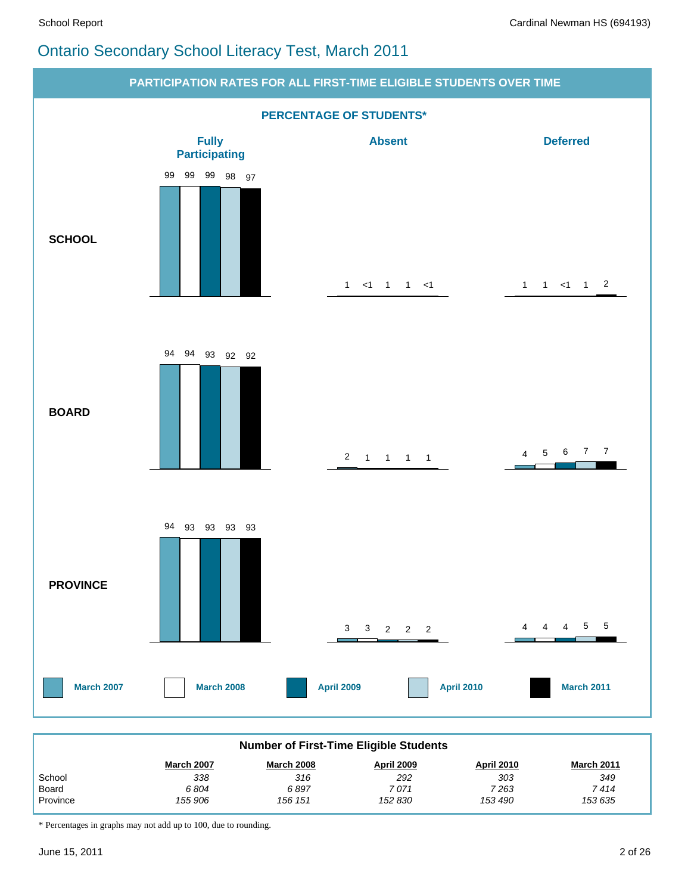### Ontario Secondary School Literacy Test, March 2011



| <b>Number of First-Time Eligible Students</b>                                                         |         |         |         |         |         |  |  |  |  |
|-------------------------------------------------------------------------------------------------------|---------|---------|---------|---------|---------|--|--|--|--|
| <b>April 2010</b><br><b>March 2007</b><br><b>March 2008</b><br><b>April 2009</b><br><b>March 2011</b> |         |         |         |         |         |  |  |  |  |
| School                                                                                                | 338     | 316     | 292     | 303     | 349     |  |  |  |  |
| Board                                                                                                 | 6804    | 6897    | 7071    | 7 263   | 7 414   |  |  |  |  |
| Province                                                                                              | 155 906 | 156 151 | 152 830 | 153 490 | 153 635 |  |  |  |  |

\* Percentages in graphs may not add up to 100, due to rounding.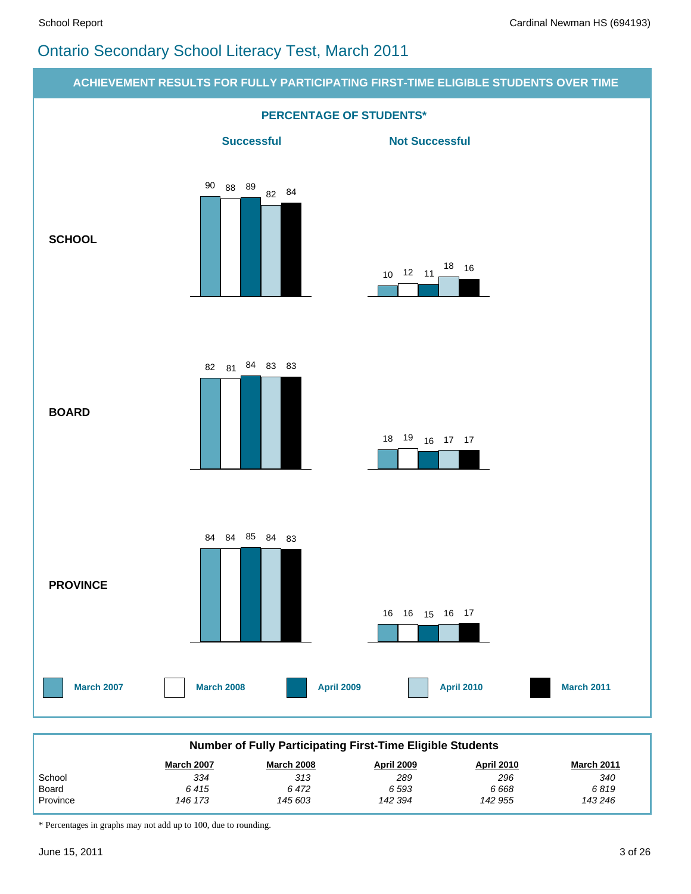## Ontario Secondary School Literacy Test, March 2011



\* Percentages in graphs may not add up to 100, due to rounding.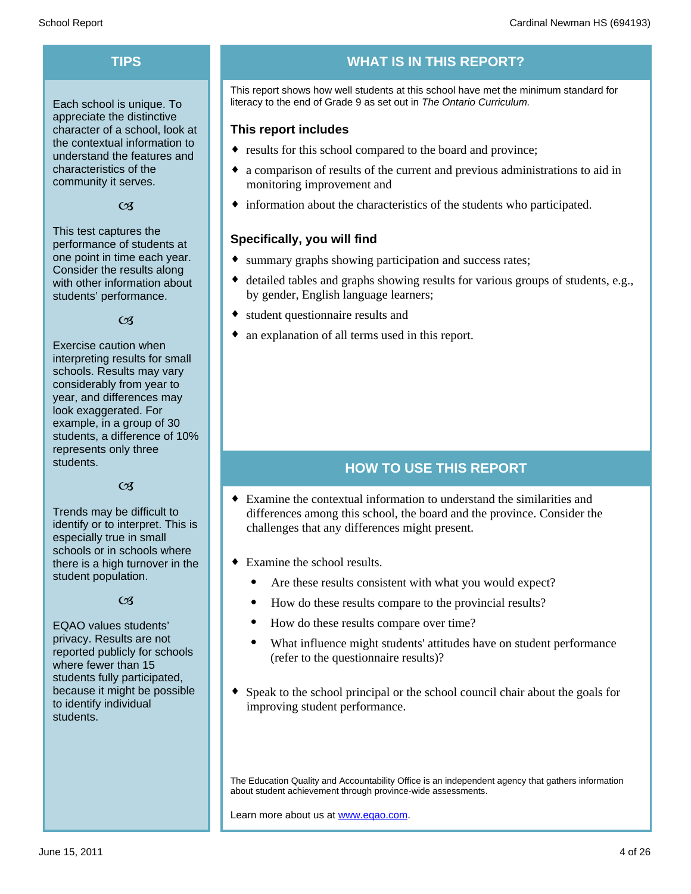Each school is unique. To appreciate the distinctive character of a school, look at the contextual information to understand the features and characteristics of the community it serves.

#### $C<sub>3</sub>$

This test captures the performance of students at one point in time each year. Consider the results along with other information about students' performance.

#### $\alpha$

Exercise caution when interpreting results for small schools. Results may vary considerably from year to year, and differences may look exaggerated. For example, in a group of 30 students, a difference of 10% represents only three students.

#### $C<sub>3</sub>$

Trends may be difficult to identify or to interpret. This is especially true in small schools or in schools where there is a high turnover in the student population.

#### $C<sub>3</sub>$

EQAO values students' privacy. Results are not reported publicly for schools where fewer than 15 students fully participated, because it might be possible to identify individual students.

# **TIPS WHAT IS IN THIS REPORT?**

This report shows how well students at this school have met the minimum standard for literacy to the end of Grade 9 as set out in *The Ontario Curriculum.*

#### **This report includes**

- results for this school compared to the board and province;
- a comparison of results of the current and previous administrations to aid in monitoring improvement and
- $\bullet$  information about the characteristics of the students who participated.

#### **Specifically, you will find**

- summary graphs showing participation and success rates;
- $\bullet$  detailed tables and graphs showing results for various groups of students, e.g., by gender, English language learners;
- student questionnaire results and
- an explanation of all terms used in this report.

#### **HOW TO USE THIS REPORT**

- $\bullet$  Examine the contextual information to understand the similarities and differences among this school, the board and the province. Consider the challenges that any differences might present.
- $\bullet$  Examine the school results.
	- Are these results consistent with what you would expect?
	- · How do these results compare to the provincial results?
	- How do these results compare over time?
	- · What influence might students' attitudes have on student performance (refer to the questionnaire results)?
- $\bullet$  Speak to the school principal or the school council chair about the goals for improving student performance.

The Education Quality and Accountability Office is an independent agency that gathers information about student achievement through province-wide assessments.

Learn more about us at www.eqao.com.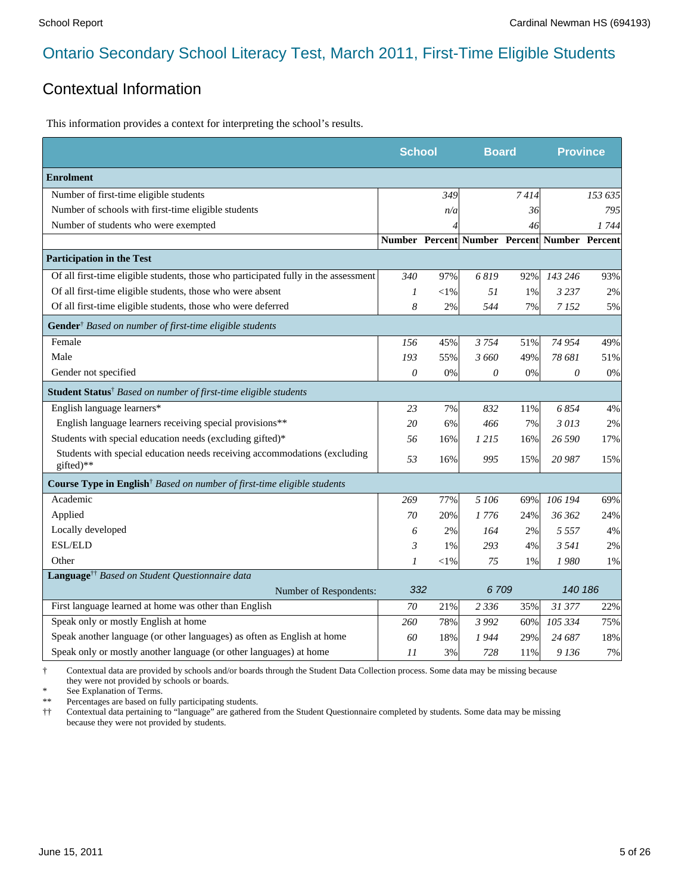#### Contextual Information

This information provides a context for interpreting the school's results.

|                                                                                            | <b>School</b> |        | <b>Board</b>                                 |        | <b>Province</b> |         |
|--------------------------------------------------------------------------------------------|---------------|--------|----------------------------------------------|--------|-----------------|---------|
| <b>Enrolment</b>                                                                           |               |        |                                              |        |                 |         |
| Number of first-time eligible students                                                     |               | 349    |                                              | 7414   |                 | 153 635 |
| Number of schools with first-time eligible students                                        |               | n/a    |                                              | 36     |                 | 795     |
| Number of students who were exempted                                                       |               |        |                                              | 46     |                 | 1744    |
|                                                                                            |               |        | Number Percent Number Percent Number Percent |        |                 |         |
| <b>Participation in the Test</b>                                                           |               |        |                                              |        |                 |         |
| Of all first-time eligible students, those who participated fully in the assessment        | 340           | 97%    | 6819                                         | 92%    | 143 246         | 93%     |
| Of all first-time eligible students, those who were absent                                 | 1             | $<$ 1% | 51                                           | 1%     | 3 2 3 7         | 2%      |
| Of all first-time eligible students, those who were deferred                               | 8             | 2%     | 544                                          | 7%     | 7152            | 5%      |
| Gender <sup>†</sup> Based on number of first-time eligible students                        |               |        |                                              |        |                 |         |
| Female                                                                                     | 156           | 45%    | 3754                                         | 51%    | 74 954          | 49%     |
| Male                                                                                       | 193           | 55%    | 3 660                                        | 49%    | 78 681          | 51%     |
| Gender not specified                                                                       | 0             | 0%     | 0                                            | 0%     | 0               | 0%      |
| Student Status <sup>†</sup> Based on number of first-time eligible students                |               |        |                                              |        |                 |         |
| English language learners*                                                                 | 23            | 7%     | 832                                          | $11\%$ | 6854            | 4%      |
| English language learners receiving special provisions**                                   | 20            | 6%     | 466                                          | 7%     | 3013            | 2%      |
| Students with special education needs (excluding gifted)*                                  | 56            | 16%    | 1 215                                        | 16%    | 26 590          | 17%     |
| Students with special education needs receiving accommodations (excluding<br>gifted)**     | 53            | 16%    | 995                                          | 15%    | 20 987          | 15%     |
| <b>Course Type in English</b> <sup>†</sup> Based on number of first-time eligible students |               |        |                                              |        |                 |         |
| Academic                                                                                   | 269           | 77%    | 5 106                                        | 69%    | 106 194         | 69%     |
| Applied                                                                                    | 70            | 20%    | 1 776                                        | 24%    | 36 362          | 24%     |
| Locally developed                                                                          | 6             | 2%     | 164                                          | 2%     | 5 5 5 7         | 4%      |
| <b>ESL/ELD</b>                                                                             | 3             | 1%     | 293                                          | 4%     | 3 5 4 1         | 2%      |
| Other                                                                                      | 1             | $<$ 1% | 75                                           | 1%     | 1980            | 1%      |
| Language <sup>††</sup> Based on Student Questionnaire data                                 |               |        |                                              |        |                 |         |
| Number of Respondents:                                                                     | 332           |        | 6709                                         |        | 140 186         |         |
| First language learned at home was other than English                                      | 70            | 21%    | 2 3 3 6                                      | 35%    | 31 377          | 22%     |
| Speak only or mostly English at home                                                       | 260           | 78%    | 3 9 9 2                                      | 60%    | 105 334         | 75%     |
| Speak another language (or other languages) as often as English at home                    | 60            | 18%    | 1 944                                        | 29%    | 24 687          | 18%     |
| Speak only or mostly another language (or other languages) at home                         | 11            | 3%     | 728                                          | 11%    | 9 1 36          | 7%      |

† Contextual data are provided by schools and/or boards through the Student Data Collection process. Some data may be missing because they were not provided by schools or boards.

\* See Explanation of Terms.<br>\*\* Percentages are based on fix

Percentages are based on fully participating students.

†† Contextual data pertaining to "language" are gathered from the Student Questionnaire completed by students. Some data may be missing because they were not provided by students.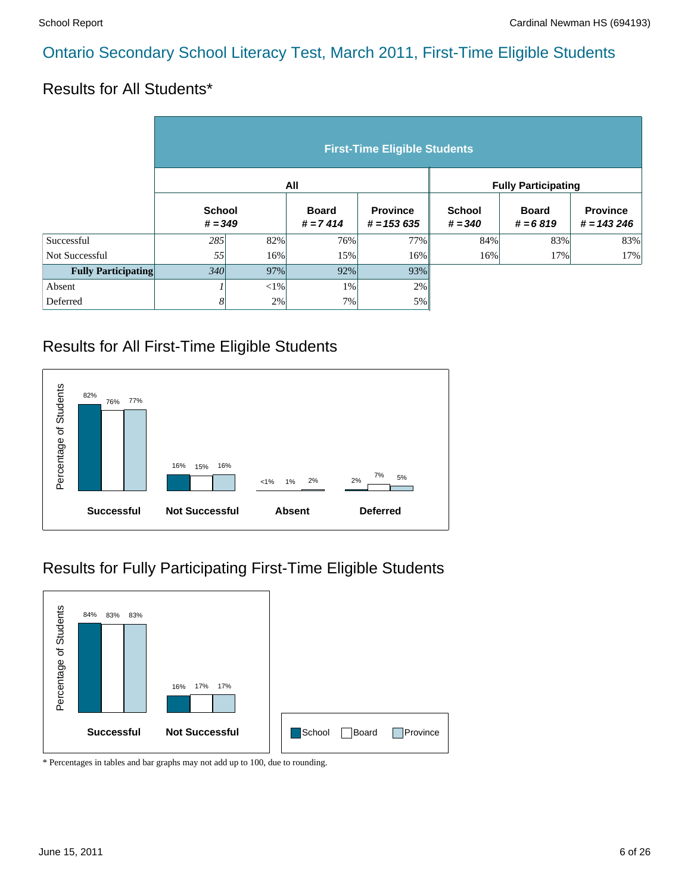#### Results for All Students\*

|                            | <b>First-Time Eligible Students</b> |                            |     |                                 |                            |                            |                                 |  |  |  |
|----------------------------|-------------------------------------|----------------------------|-----|---------------------------------|----------------------------|----------------------------|---------------------------------|--|--|--|
|                            |                                     |                            | All |                                 | <b>Fully Participating</b> |                            |                                 |  |  |  |
|                            |                                     | <b>School</b><br>$# = 349$ |     | <b>Province</b><br>$# = 153635$ | <b>School</b><br>$# = 340$ | <b>Board</b><br>$# = 6819$ | <b>Province</b><br>$# = 143246$ |  |  |  |
| Successful                 | 285                                 | 82%                        | 76% | 77%                             | 84%                        | 83%                        | 83%                             |  |  |  |
| Not Successful             | 55                                  | 16%                        | 15% | 16%                             | 16%                        | 17%                        | 17%                             |  |  |  |
| <b>Fully Participating</b> | 340                                 | 97%                        | 92% | 93%                             |                            |                            |                                 |  |  |  |
| Absent                     |                                     | ${<}1\%$                   | 1%  | 2%                              |                            |                            |                                 |  |  |  |
| Deferred                   | 8                                   | 2%                         | 7%  | 5%                              |                            |                            |                                 |  |  |  |

#### Results for All First-Time Eligible Students



#### Results for Fully Participating First-Time Eligible Students

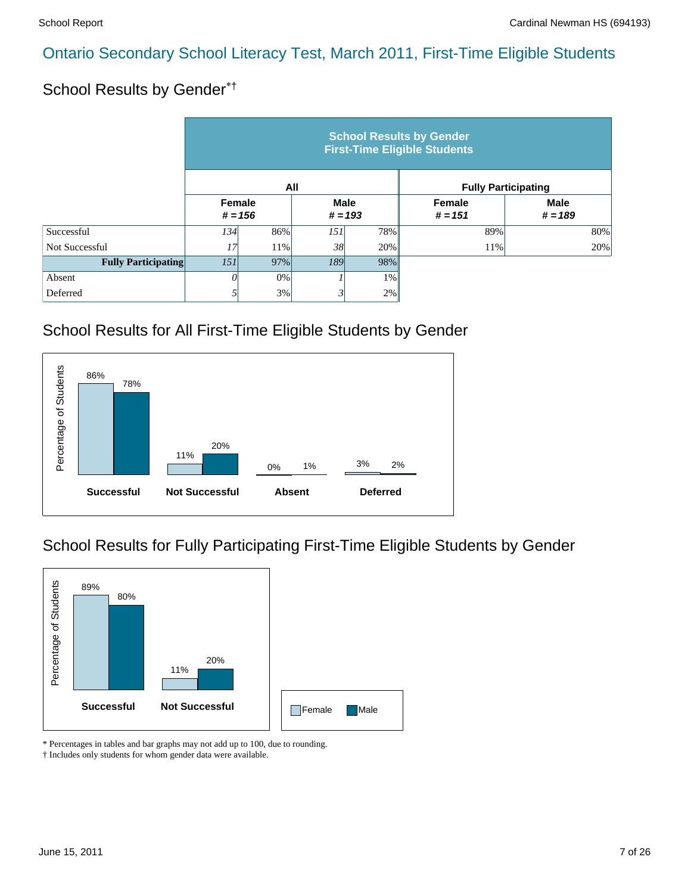### School Results by Gender\*†

|                            | <b>School Results by Gender</b><br><b>First-Time Eligible Students</b> |     |                          |       |                            |                          |  |  |  |  |
|----------------------------|------------------------------------------------------------------------|-----|--------------------------|-------|----------------------------|--------------------------|--|--|--|--|
|                            |                                                                        |     | All                      |       | <b>Fully Participating</b> |                          |  |  |  |  |
|                            | Female<br>$# = 156$                                                    |     | <b>Male</b><br>$# = 193$ |       | Female<br>$# = 151$        | <b>Male</b><br>$# = 189$ |  |  |  |  |
| Successful                 | 134                                                                    | 86% | 151                      | 78%   | 89%                        | 80%                      |  |  |  |  |
| Not Successful             | 17'                                                                    | 11% | 38                       | 20%   | 11%                        | 20%                      |  |  |  |  |
| <b>Fully Participating</b> | 97%<br>151                                                             |     | <b>189</b>               | 98%   |                            |                          |  |  |  |  |
| Absent                     | 0                                                                      | 0%  |                          | $1\%$ |                            |                          |  |  |  |  |
| Deferred                   |                                                                        | 3%  |                          | 2%    |                            |                          |  |  |  |  |

# School Results for All First-Time Eligible Students by Gender



School Results for Fully Participating First-Time Eligible Students by Gender



\* Percentages in tables and bar graphs may not add up to 100, due to rounding.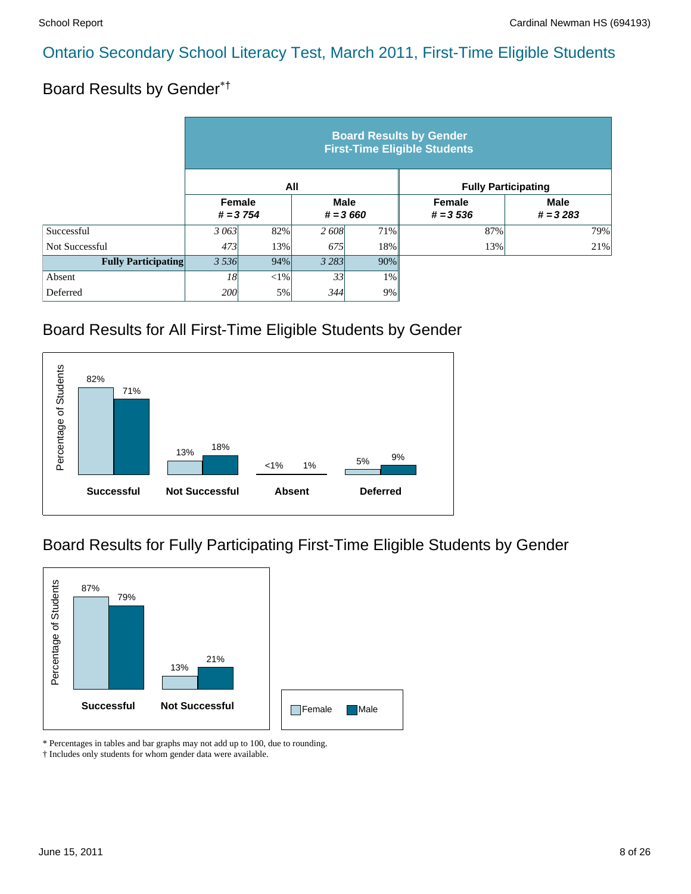# Board Results by Gender\*†

|                            | <b>Board Results by Gender</b><br><b>First-Time Eligible Students</b> |     |                           |       |                             |                            |  |  |  |  |
|----------------------------|-----------------------------------------------------------------------|-----|---------------------------|-------|-----------------------------|----------------------------|--|--|--|--|
|                            |                                                                       |     | All                       |       |                             | <b>Fully Participating</b> |  |  |  |  |
|                            | Female<br>$# = 3754$                                                  |     | <b>Male</b><br>$# = 3660$ |       | <b>Female</b><br>$# = 3536$ | <b>Male</b><br>$# = 3283$  |  |  |  |  |
| Successful                 | 3 063                                                                 | 82% | 2608                      | 71%   | 87%                         | 79%                        |  |  |  |  |
| Not Successful             | 473                                                                   | 13% | 675                       | 18%   | 13%                         | 21%                        |  |  |  |  |
| <b>Fully Participating</b> | 3 5 3 6<br>94%                                                        |     | 3 2 8 3                   | 90%   |                             |                            |  |  |  |  |
| Absent                     | 18                                                                    | <1% | 33                        | $1\%$ |                             |                            |  |  |  |  |
| Deferred                   | 200l                                                                  | 5%  | 344                       | 9%    |                             |                            |  |  |  |  |

### Board Results for All First-Time Eligible Students by Gender



### Board Results for Fully Participating First-Time Eligible Students by Gender



\* Percentages in tables and bar graphs may not add up to 100, due to rounding.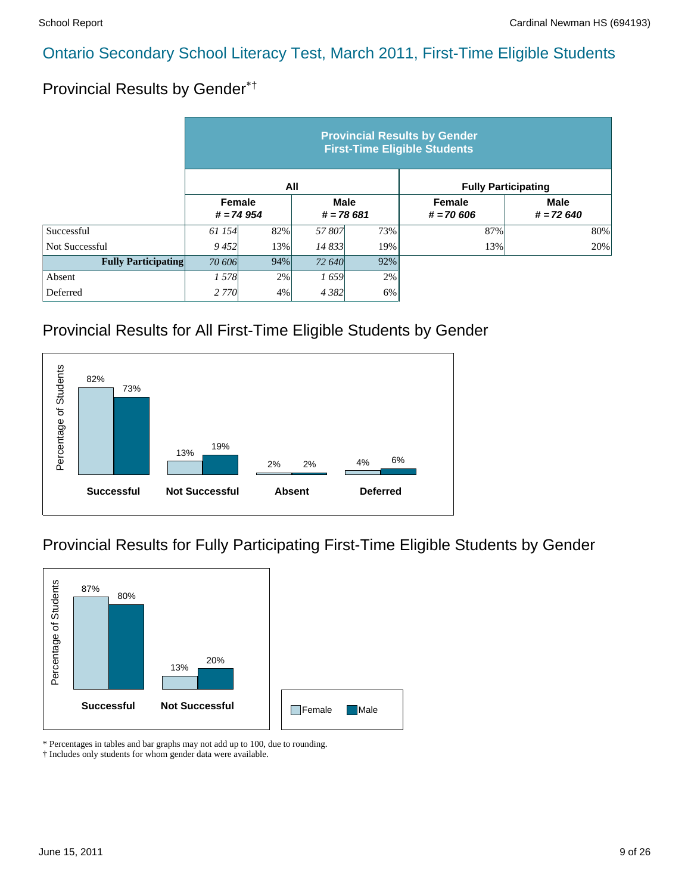# Provincial Results by Gender\*†

|                            | <b>Provincial Results by Gender</b><br><b>First-Time Eligible Students</b> |                                                     |         |                              |                            |     |  |  |  |  |
|----------------------------|----------------------------------------------------------------------------|-----------------------------------------------------|---------|------------------------------|----------------------------|-----|--|--|--|--|
|                            |                                                                            | All                                                 |         |                              | <b>Fully Participating</b> |     |  |  |  |  |
|                            |                                                                            | Female<br><b>Male</b><br>$# = 74954$<br>$# = 78681$ |         | <b>Female</b><br>$# = 70606$ | <b>Male</b><br>$# = 72640$ |     |  |  |  |  |
| Successful                 | 61 154                                                                     | 82%                                                 | 57807   | 73%                          | 87%                        | 80% |  |  |  |  |
| Not Successful             | 9452                                                                       | 13%                                                 | 14 833  | 19%                          | 13%                        | 20% |  |  |  |  |
| <b>Fully Participating</b> | 70 606<br>94%                                                              |                                                     | 72 640  | 92%                          |                            |     |  |  |  |  |
| Absent                     | 1578                                                                       | 2%                                                  | 1659    | 2%                           |                            |     |  |  |  |  |
| Deferred                   | 2 7 7 0 1                                                                  | 4%                                                  | 4 3 8 2 | 6%                           |                            |     |  |  |  |  |

### Provincial Results for All First-Time Eligible Students by Gender



### Provincial Results for Fully Participating First-Time Eligible Students by Gender



\* Percentages in tables and bar graphs may not add up to 100, due to rounding.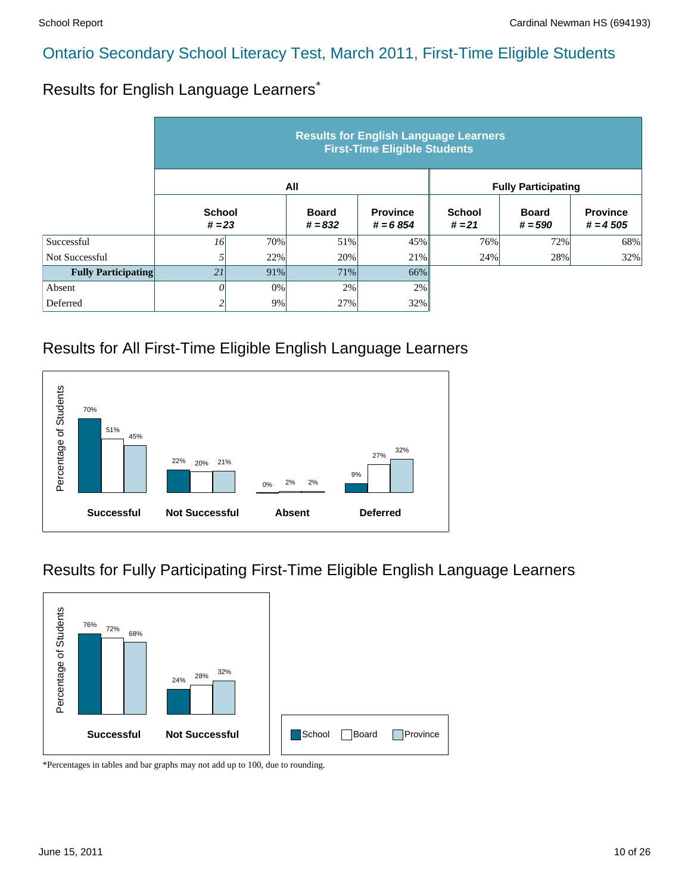#### Results for English Language Learners\*

|                            | <b>Results for English Language Learners</b><br><b>First-Time Eligible Students</b> |                           |     |                               |                            |                           |                               |  |  |  |
|----------------------------|-------------------------------------------------------------------------------------|---------------------------|-----|-------------------------------|----------------------------|---------------------------|-------------------------------|--|--|--|
|                            |                                                                                     |                           | All |                               | <b>Fully Participating</b> |                           |                               |  |  |  |
|                            |                                                                                     | <b>School</b><br>$# = 23$ |     | <b>Province</b><br>$# = 6854$ | <b>School</b><br>$# = 21$  | <b>Board</b><br>$# = 590$ | <b>Province</b><br>$# = 4505$ |  |  |  |
| Successful                 | 16                                                                                  | 70%                       | 51% | 45%                           | 76%                        | 72%                       | 68%                           |  |  |  |
| Not Successful             |                                                                                     | 22%                       | 20% | 21%                           | 24%                        | 28%                       | 32%                           |  |  |  |
| <b>Fully Participating</b> | 21                                                                                  | 91%                       | 71% | 66%                           |                            |                           |                               |  |  |  |
| Absent                     |                                                                                     | 0%                        | 2%  | 2%                            |                            |                           |                               |  |  |  |
| Deferred                   |                                                                                     | 9%                        | 27% | 32%                           |                            |                           |                               |  |  |  |

#### Results for All First-Time Eligible English Language Learners



#### Results for Fully Participating First-Time Eligible English Language Learners

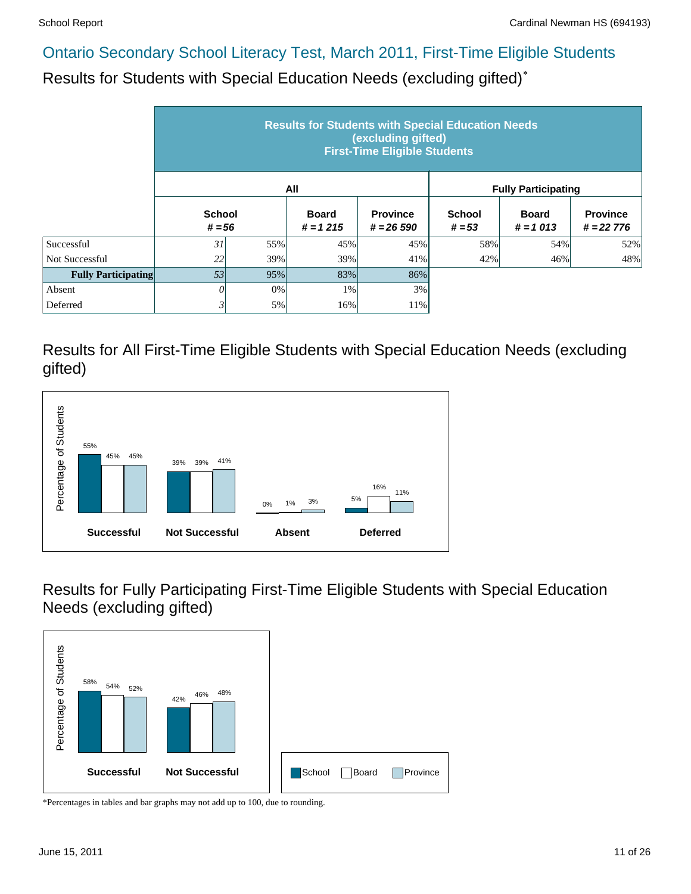Results for Students with Special Education Needs (excluding gifted)\*

|                            | <b>Results for Students with Special Education Needs</b><br>(excluding gifted)<br><b>First-Time Eligible Students</b> |     |                            |                                 |                            |                            |                                |  |  |  |
|----------------------------|-----------------------------------------------------------------------------------------------------------------------|-----|----------------------------|---------------------------------|----------------------------|----------------------------|--------------------------------|--|--|--|
|                            |                                                                                                                       |     | All                        |                                 | <b>Fully Participating</b> |                            |                                |  |  |  |
|                            | <b>School</b><br>$# = 56$                                                                                             |     | <b>Board</b><br>$# = 1215$ | <b>Province</b><br>$# = 26,590$ | <b>School</b><br>$# = 53$  | <b>Board</b><br>$# = 1013$ | <b>Province</b><br>$# = 22776$ |  |  |  |
| Successful                 | 31                                                                                                                    | 55% | 45%                        | 45%                             | 58%                        | 54%                        | 52%                            |  |  |  |
| Not Successful             | 22                                                                                                                    | 39% | 39%                        | 41%                             | 42%                        | 46%                        | 48%                            |  |  |  |
| <b>Fully Participating</b> | 53                                                                                                                    | 95% | 83%                        | 86%                             |                            |                            |                                |  |  |  |
| Absent                     | 0                                                                                                                     | 0%  | 1%                         | 3%                              |                            |                            |                                |  |  |  |
| Deferred                   | 3                                                                                                                     | 5%  | 16%                        | 11%                             |                            |                            |                                |  |  |  |

Results for All First-Time Eligible Students with Special Education Needs (excluding gifted)



Results for Fully Participating First-Time Eligible Students with Special Education Needs (excluding gifted)

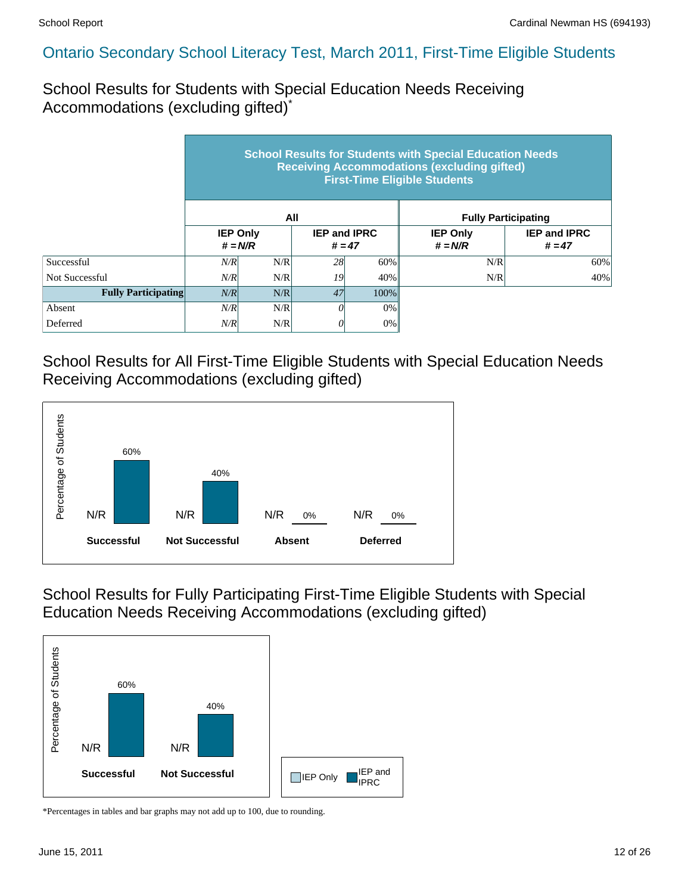School Results for Students with Special Education Needs Receiving Accommodations (excluding gifted)\*

|                            | <b>School Results for Students with Special Education Needs</b><br><b>Receiving Accommodations (excluding gifted)</b><br><b>First-Time Eligible Students</b> |                              |     |                                 |                              |                                 |  |  |  |  |
|----------------------------|--------------------------------------------------------------------------------------------------------------------------------------------------------------|------------------------------|-----|---------------------------------|------------------------------|---------------------------------|--|--|--|--|
|                            |                                                                                                                                                              |                              | All |                                 | <b>Fully Participating</b>   |                                 |  |  |  |  |
|                            |                                                                                                                                                              | <b>IEP Only</b><br>$# = N/R$ |     | <b>IEP and IPRC</b><br>$# = 47$ | <b>IEP Only</b><br>$# = N/R$ | <b>IEP and IPRC</b><br>$# = 47$ |  |  |  |  |
| Successful                 | N/R                                                                                                                                                          | N/R                          | 28  | 60%                             | N/R                          | 60%                             |  |  |  |  |
| Not Successful             | N/R                                                                                                                                                          | N/R                          | 19  | 40%                             | N/R                          | 40%                             |  |  |  |  |
| <b>Fully Participating</b> | N/R                                                                                                                                                          | N/R                          | 47  | $100\%$                         |                              |                                 |  |  |  |  |
| Absent                     | N/R                                                                                                                                                          | N/R                          | 0   | 0%                              |                              |                                 |  |  |  |  |
| Deferred                   | N/R                                                                                                                                                          | N/R                          | 0   | $0\%$                           |                              |                                 |  |  |  |  |

School Results for All First-Time Eligible Students with Special Education Needs Receiving Accommodations (excluding gifted)



School Results for Fully Participating First-Time Eligible Students with Special Education Needs Receiving Accommodations (excluding gifted)

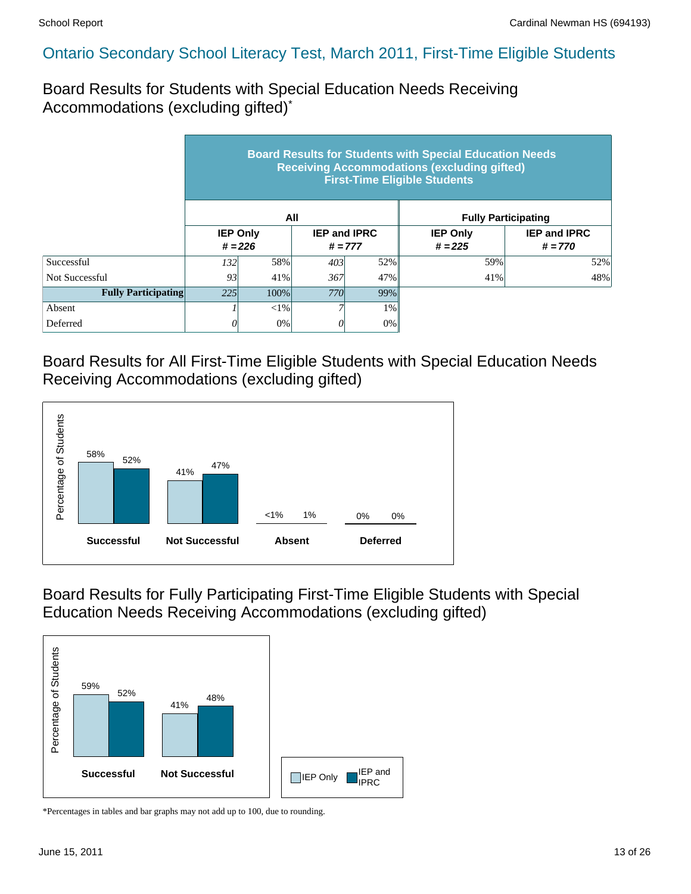Board Results for Students with Special Education Needs Receiving Accommodations (excluding gifted)\*

|                            | <b>Board Results for Students with Special Education Needs</b><br><b>Receiving Accommodations (excluding gifted)</b><br><b>First-Time Eligible Students</b> |                              |            |                                  |                              |                                  |  |  |  |  |
|----------------------------|-------------------------------------------------------------------------------------------------------------------------------------------------------------|------------------------------|------------|----------------------------------|------------------------------|----------------------------------|--|--|--|--|
|                            |                                                                                                                                                             |                              | All        |                                  | <b>Fully Participating</b>   |                                  |  |  |  |  |
|                            |                                                                                                                                                             | <b>IEP Only</b><br>$# = 226$ |            | <b>IEP and IPRC</b><br>$# = 777$ | <b>IEP Only</b><br>$# = 225$ | <b>IEP and IPRC</b><br>$# = 770$ |  |  |  |  |
| Successful                 | 132 <sup> </sup>                                                                                                                                            | 58%                          | 403        | 52%                              | 59%                          | 52%                              |  |  |  |  |
| Not Successful             | 93                                                                                                                                                          | 41%                          | 367        | 47%                              | 41%                          | 48%                              |  |  |  |  |
| <b>Fully Participating</b> | 225<br>100%                                                                                                                                                 |                              | <b>770</b> | 99%                              |                              |                                  |  |  |  |  |
| Absent                     |                                                                                                                                                             | $< 1\%$                      |            | $1\%$                            |                              |                                  |  |  |  |  |
| Deferred                   |                                                                                                                                                             | 0%                           | 0          | $0\%$                            |                              |                                  |  |  |  |  |

Board Results for All First-Time Eligible Students with Special Education Needs Receiving Accommodations (excluding gifted)



Board Results for Fully Participating First-Time Eligible Students with Special Education Needs Receiving Accommodations (excluding gifted)

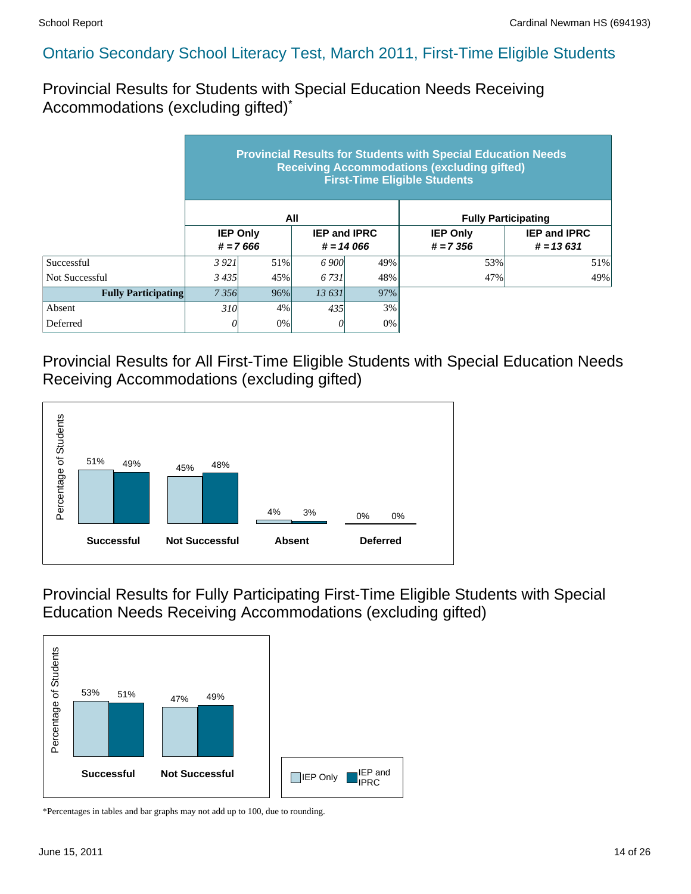Provincial Results for Students with Special Education Needs Receiving Accommodations (excluding gifted)\*

|                            | <b>Provincial Results for Students with Special Education Needs</b><br><b>Receiving Accommodations (excluding gifted)</b><br><b>First-Time Eligible Students</b> |                                                                     |       |     |                                |                                    |  |  |  |  |
|----------------------------|------------------------------------------------------------------------------------------------------------------------------------------------------------------|---------------------------------------------------------------------|-------|-----|--------------------------------|------------------------------------|--|--|--|--|
|                            |                                                                                                                                                                  |                                                                     | All   |     |                                | <b>Fully Participating</b>         |  |  |  |  |
|                            |                                                                                                                                                                  | <b>IEP Only</b><br><b>IEP and IPRC</b><br>$# = 7666$<br>$# = 14066$ |       |     | <b>IEP Only</b><br>$# = 7.356$ | <b>IEP and IPRC</b><br>$# = 13631$ |  |  |  |  |
| Successful                 | 3921                                                                                                                                                             | 51%                                                                 | 6 900 | 49% | 53%                            | 51%                                |  |  |  |  |
| Not Successful             | 3435                                                                                                                                                             | 45%                                                                 | 6.731 | 48% | 47%                            | 49%                                |  |  |  |  |
| <b>Fully Participating</b> | 7356                                                                                                                                                             | 96%                                                                 | 13631 | 97% |                                |                                    |  |  |  |  |
| Absent                     | 310 <sup> </sup>                                                                                                                                                 | 4%                                                                  | 435   | 3%  |                                |                                    |  |  |  |  |
| Deferred                   | 0                                                                                                                                                                | 0%                                                                  | 0     | 0%  |                                |                                    |  |  |  |  |

Provincial Results for All First-Time Eligible Students with Special Education Needs Receiving Accommodations (excluding gifted)



Provincial Results for Fully Participating First-Time Eligible Students with Special Education Needs Receiving Accommodations (excluding gifted)

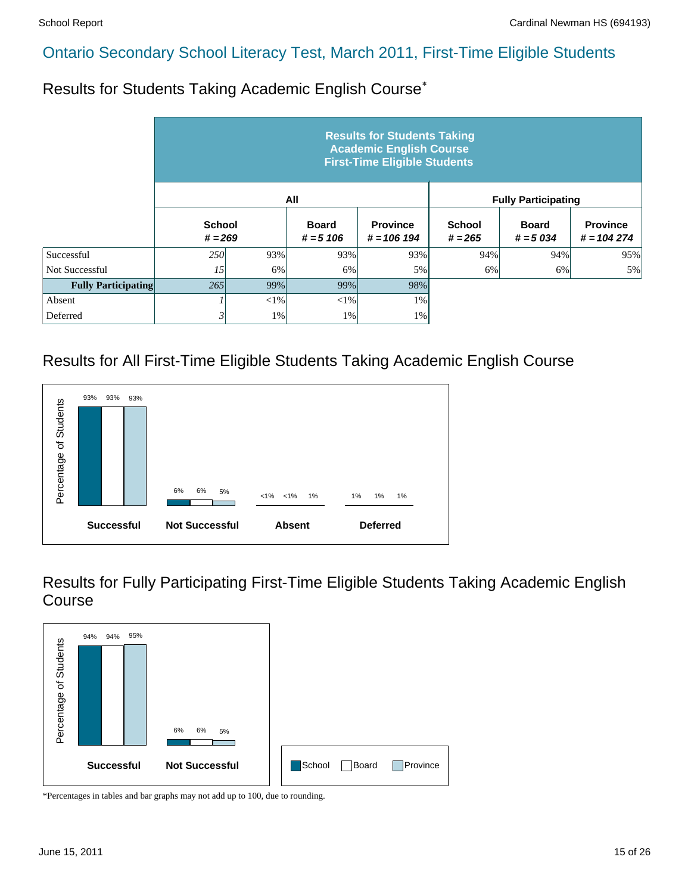Results for Students Taking Academic English Course\*

|                            | <b>Results for Students Taking</b><br><b>Academic English Course</b><br><b>First-Time Eligible Students</b> |        |                             |                                  |                            |                            |                                 |  |  |  |  |
|----------------------------|-------------------------------------------------------------------------------------------------------------|--------|-----------------------------|----------------------------------|----------------------------|----------------------------|---------------------------------|--|--|--|--|
|                            |                                                                                                             |        | All                         |                                  |                            | <b>Fully Participating</b> |                                 |  |  |  |  |
|                            | <b>School</b><br>$# = 269$                                                                                  |        | <b>Board</b><br>$# = 5 106$ | <b>Province</b><br>$# = 106 194$ | <b>School</b><br>$# = 265$ | <b>Board</b><br>$# = 5034$ | <b>Province</b><br>$# = 104274$ |  |  |  |  |
| Successful                 | <b>250</b>                                                                                                  | 93%    | 93%                         | 93%                              | 94%                        | 94%                        | 95%                             |  |  |  |  |
| Not Successful             | 15                                                                                                          | 6%     | 6%                          | 5%                               | 6%                         | 6%                         | 5%                              |  |  |  |  |
| <b>Fully Participating</b> | 265                                                                                                         | 99%    | 99%                         | 98%                              |                            |                            |                                 |  |  |  |  |
| Absent                     |                                                                                                             | $<$ 1% | $<$ 1%                      | $1\%$                            |                            |                            |                                 |  |  |  |  |
| Deferred                   | 3                                                                                                           | 1%     | 1%                          | $1\%$                            |                            |                            |                                 |  |  |  |  |

# Results for All First-Time Eligible Students Taking Academic English Course



Results for Fully Participating First-Time Eligible Students Taking Academic English Course

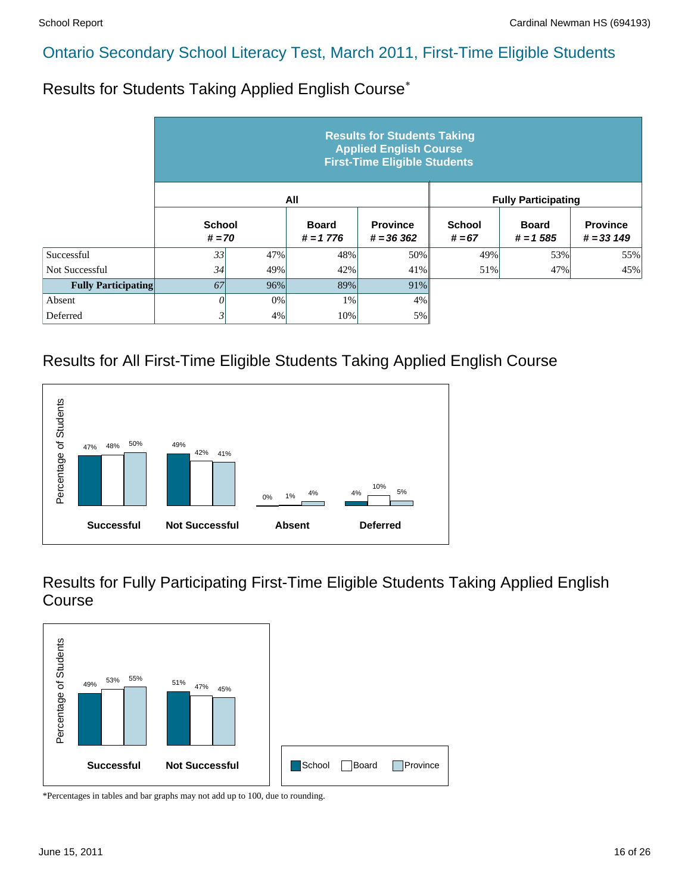Results for Students Taking Applied English Course\*

|                            | <b>Results for Students Taking</b><br><b>Applied English Course</b><br><b>First-Time Eligible Students</b> |     |                             |                                |                           |                             |                                |  |  |  |  |
|----------------------------|------------------------------------------------------------------------------------------------------------|-----|-----------------------------|--------------------------------|---------------------------|-----------------------------|--------------------------------|--|--|--|--|
|                            |                                                                                                            |     | All                         |                                |                           | <b>Fully Participating</b>  |                                |  |  |  |  |
|                            | <b>School</b><br>$# = 70$                                                                                  |     | <b>Board</b><br>$# = 1 776$ | <b>Province</b><br>$# = 36362$ | <b>School</b><br>$# = 67$ | <b>Board</b><br>$# = 1.585$ | <b>Province</b><br>$# = 33149$ |  |  |  |  |
| Successful                 | 33                                                                                                         | 47% | 48%                         | 50%                            | 49%                       | 53%                         | 55%                            |  |  |  |  |
| Not Successful             | 34                                                                                                         | 49% | 42%                         | 41%                            | 51%                       | 47%                         | 45%                            |  |  |  |  |
| <b>Fully Participating</b> | 67                                                                                                         | 96% | 89%                         | 91%                            |                           |                             |                                |  |  |  |  |
| Absent                     | 0                                                                                                          | 0%  | 1%                          | 4%                             |                           |                             |                                |  |  |  |  |
| Deferred                   | $\mathfrak{z}$                                                                                             | 4%  | 10%                         | 5%                             |                           |                             |                                |  |  |  |  |

#### Results for All First-Time Eligible Students Taking Applied English Course



Results for Fully Participating First-Time Eligible Students Taking Applied English Course

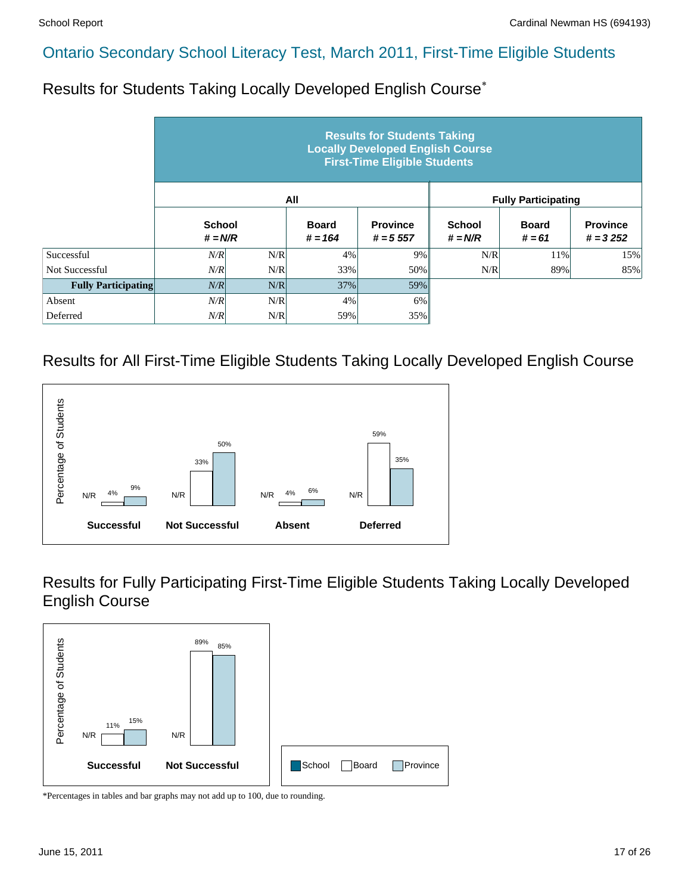Results for Students Taking Locally Developed English Course\*

|                            |                            |     |                           | <b>Results for Students Taking</b><br><b>Locally Developed English Course</b><br><b>First-Time Eligible Students</b> |                            |                            |                               |
|----------------------------|----------------------------|-----|---------------------------|----------------------------------------------------------------------------------------------------------------------|----------------------------|----------------------------|-------------------------------|
|                            |                            |     | All                       |                                                                                                                      |                            | <b>Fully Participating</b> |                               |
|                            | <b>School</b><br>$# = N/R$ |     | <b>Board</b><br>$# = 164$ | <b>Province</b><br>$# = 5557$                                                                                        | <b>School</b><br>$# = N/R$ | <b>Board</b><br>$# = 61$   | <b>Province</b><br>$# = 3252$ |
| Successful                 | N/R                        | N/R | 4%                        | 9%                                                                                                                   | N/R                        | 11%                        | 15%                           |
| Not Successful             | N/R                        | N/R | 33%                       | 50%                                                                                                                  | N/R                        | 89%                        | 85%                           |
| <b>Fully Participating</b> | N/R                        | N/R | 37%                       | 59%                                                                                                                  |                            |                            |                               |
| Absent                     | N/R                        | N/R | 4%                        | 6%                                                                                                                   |                            |                            |                               |
| Deferred                   | N/R                        | N/R | 59%                       | 35%                                                                                                                  |                            |                            |                               |

#### Results for All First-Time Eligible Students Taking Locally Developed English Course



Results for Fully Participating First-Time Eligible Students Taking Locally Developed English Course

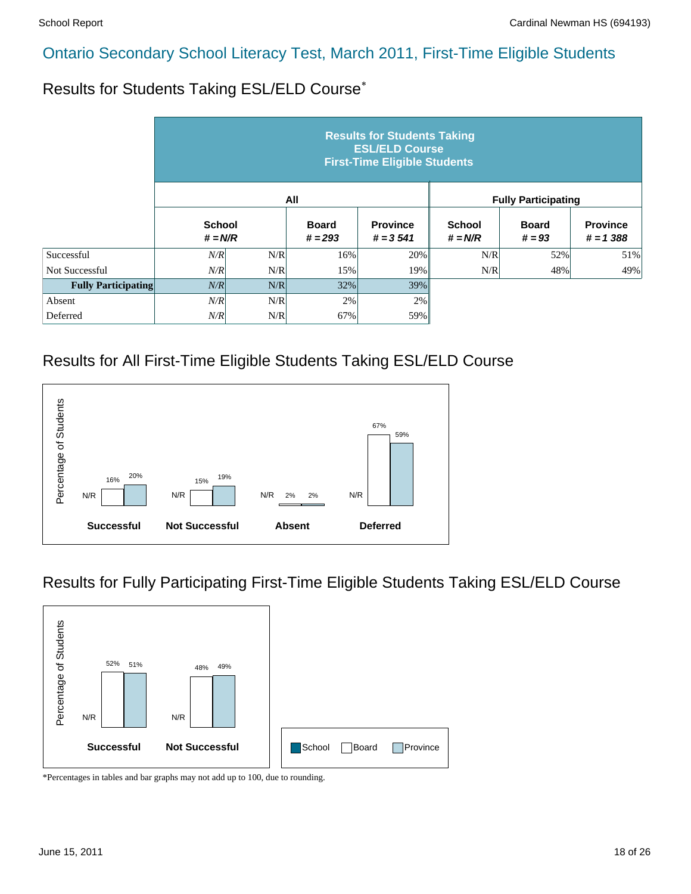Results for Students Taking ESL/ELD Course\*

|                            |                            |     |                           | <b>Results for Students Taking</b><br><b>ESL/ELD Course</b><br><b>First-Time Eligible Students</b> |                            |                            |                                |
|----------------------------|----------------------------|-----|---------------------------|----------------------------------------------------------------------------------------------------|----------------------------|----------------------------|--------------------------------|
|                            |                            |     | All                       |                                                                                                    |                            | <b>Fully Participating</b> |                                |
|                            | <b>School</b><br>$# = N/R$ |     | <b>Board</b><br>$# = 293$ | <b>Province</b><br>$# = 3541$                                                                      | <b>School</b><br>$# = N/R$ | <b>Board</b><br>$# = 93$   | <b>Province</b><br>$# = 1,388$ |
| Successful                 | N/R                        | N/R | 16%                       | 20%                                                                                                | N/R                        | 52%                        | 51%                            |
| <b>Not Successful</b>      | N/R                        | N/R | 15%                       | 19%                                                                                                | N/R                        | 48%                        | 49%                            |
| <b>Fully Participating</b> | N/R                        | N/R | 32%                       | 39%                                                                                                |                            |                            |                                |
| Absent                     | N/R                        | N/R | 2%                        | 2%                                                                                                 |                            |                            |                                |
| Deferred                   | N/R                        | N/R | 67%                       | 59%                                                                                                |                            |                            |                                |

#### Results for All First-Time Eligible Students Taking ESL/ELD Course



#### Results for Fully Participating First-Time Eligible Students Taking ESL/ELD Course

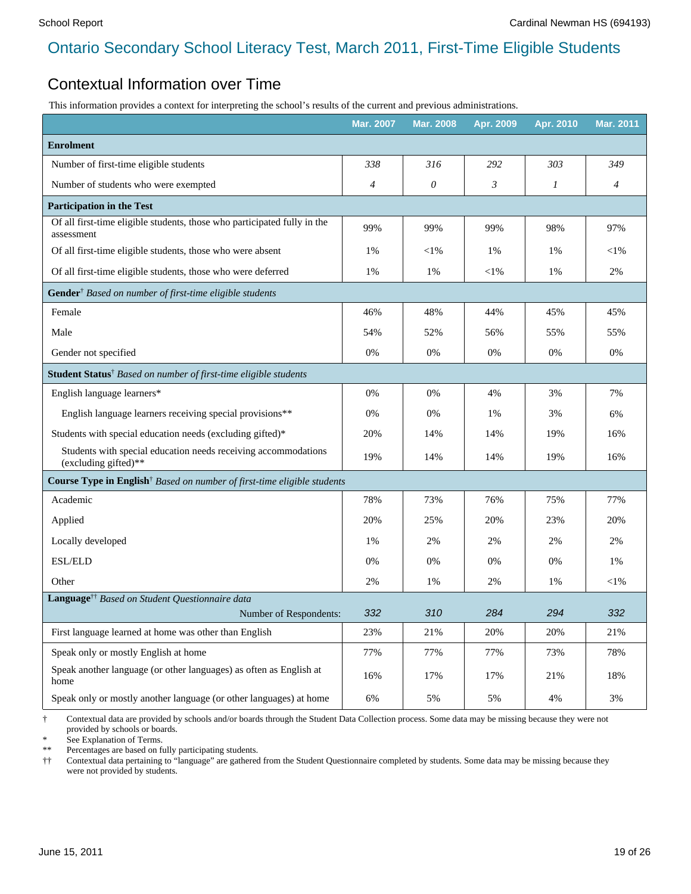#### Contextual Information over Time

This information provides a context for interpreting the school's results of the current and previous administrations.

|                                                                                        | <b>Mar. 2007</b> | <b>Mar. 2008</b> | Apr. 2009 | Apr. 2010 | <b>Mar. 2011</b> |
|----------------------------------------------------------------------------------------|------------------|------------------|-----------|-----------|------------------|
| <b>Enrolment</b>                                                                       |                  |                  |           |           |                  |
| Number of first-time eligible students                                                 | 338              | 316              | 292       | 303       | 349              |
| Number of students who were exempted                                                   | $\overline{4}$   | $\theta$         | 3         | 1         | $\overline{4}$   |
| <b>Participation in the Test</b>                                                       |                  |                  |           |           |                  |
| Of all first-time eligible students, those who participated fully in the<br>assessment | 99%              | 99%              | 99%       | 98%       | 97%              |
| Of all first-time eligible students, those who were absent                             | $1\%$            | $<$ l%           | 1%        | 1%        | $<$ l $%$        |
| Of all first-time eligible students, those who were deferred                           | 1%               | 1%               | $<$ l $%$ | 1%        | 2%               |
| Gender <sup>†</sup> Based on number of first-time eligible students                    |                  |                  |           |           |                  |
| Female                                                                                 | 46%              | 48%              | 44%       | 45%       | 45%              |
| Male                                                                                   | 54%              | 52%              | 56%       | 55%       | 55%              |
| Gender not specified                                                                   | 0%               | 0%               | 0%        | 0%        | 0%               |
| Student Status <sup>†</sup> Based on number of first-time eligible students            |                  |                  |           |           |                  |
| English language learners*                                                             | 0%               | 0%               | 4%        | 3%        | 7%               |
| English language learners receiving special provisions**                               | $0\%$            | 0%               | 1%        | 3%        | 6%               |
| Students with special education needs (excluding gifted)*                              | 20%              | 14%              | 14%       | 19%       | 16%              |
| Students with special education needs receiving accommodations<br>(excluding gifted)** | 19%              | 14%              | 14%       | 19%       | 16%              |
| Course Type in English <sup>†</sup> Based on number of first-time eligible students    |                  |                  |           |           |                  |
| Academic                                                                               | 78%              | 73%              | 76%       | 75%       | 77%              |
| Applied                                                                                | 20%              | 25%              | 20%       | 23%       | 20%              |
| Locally developed                                                                      | $1\%$            | 2%               | 2%        | 2%        | 2%               |
| ESL/ELD                                                                                | 0%               | 0%               | 0%        | 0%        | 1%               |
| Other                                                                                  | 2%               | 1%               | 2%        | 1%        | $<$ l%           |
| Language <sup>††</sup> Based on Student Questionnaire data                             |                  |                  |           |           |                  |
| Number of Respondents:                                                                 | 332              | 310              | 284       | 294       | 332              |
| First language learned at home was other than English                                  | 23%              | 21%              | 20%       | 20%       | 21%              |
| Speak only or mostly English at home                                                   | 77%              | 77%              | 77%       | 73%       | 78%              |
| Speak another language (or other languages) as often as English at<br>home             | 16%              | 17%              | 17%       | 21%       | 18%              |
| Speak only or mostly another language (or other languages) at home                     | 6%               | 5%               | 5%        | 4%        | 3%               |

† Contextual data are provided by schools and/or boards through the Student Data Collection process. Some data may be missing because they were not provided by schools or boards.

See Explanation of Terms.

\*\* Percentages are based on fully participating students.

†† Contextual data pertaining to "language" are gathered from the Student Questionnaire completed by students. Some data may be missing because they were not provided by students.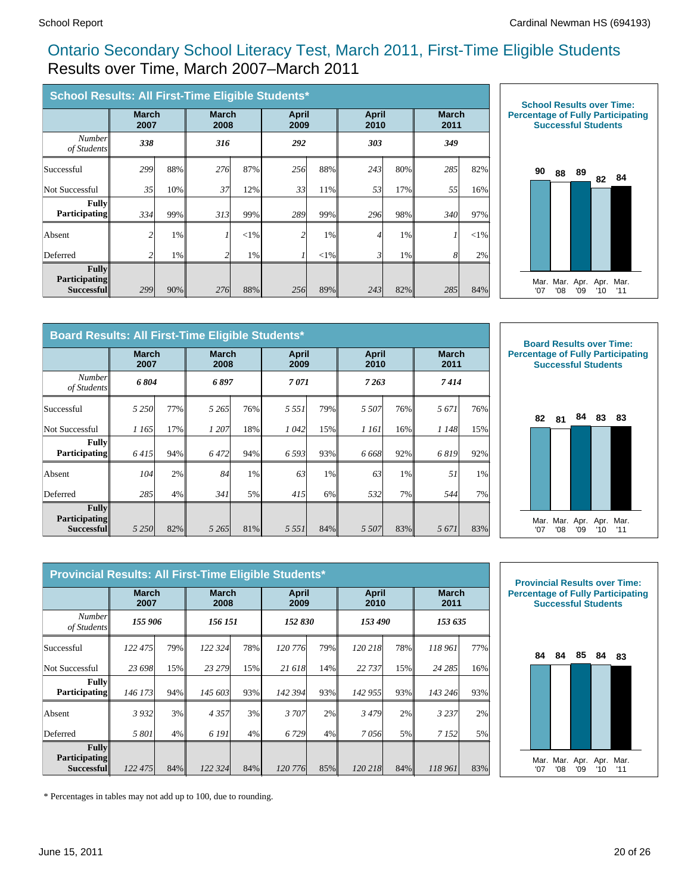#### Ontario Secondary School Literacy Test, March 2011, First-Time Eligible Students Results over Time, March 2007–March 2011

|                                                    | School Results: All First-Time Eligible Students* |       |                      |       |                      |          |                      |     |                      |        |  |
|----------------------------------------------------|---------------------------------------------------|-------|----------------------|-------|----------------------|----------|----------------------|-----|----------------------|--------|--|
|                                                    | <b>March</b><br>2007                              |       | <b>March</b><br>2008 |       | <b>April</b><br>2009 |          | <b>April</b><br>2010 |     | <b>March</b><br>2011 |        |  |
| <b>Number</b><br>of Students                       | 338                                               |       | 316                  |       | 292                  |          | 303                  |     | 349                  |        |  |
| Successful                                         | 299                                               | 88%   | 276                  | 87%   | 256                  | 88%      | 243                  | 80% | 285                  | 82%    |  |
| Not Successful                                     | 35                                                | 10%   | 37                   | 12%   | 33                   | 11%      | 53                   | 17% | 55                   | 16%    |  |
| <b>Fully</b><br><b>Participating</b>               | 334                                               | 99%   | 313                  | 99%   | 289                  | 99%      | 296                  | 98% | 340                  | 97%    |  |
| Absent                                             | $\overline{c}$                                    | 1%    |                      | <1%   | $\overline{c}$       | 1%       | 4                    | 1%  |                      | $<$ 1% |  |
| Deferred                                           | 2                                                 | $1\%$ |                      | $1\%$ | 1                    | ${<}1\%$ | 3                    | 1%  | $\mathcal{S}$        | 2%     |  |
| Fullv<br><b>Participating</b><br><b>Successful</b> | 299                                               | 90%   | 276                  | 88%   | 256                  | 89%      | 243                  | 82% | 285                  | 84%    |  |



|                                             | Board Results: All First-Time Eligible Students* |     |                      |     |                      |     |                      |       |                      |     |  |
|---------------------------------------------|--------------------------------------------------|-----|----------------------|-----|----------------------|-----|----------------------|-------|----------------------|-----|--|
|                                             | <b>March</b><br>2007                             |     | <b>March</b><br>2008 |     | <b>April</b><br>2009 |     | <b>April</b><br>2010 |       | <b>March</b><br>2011 |     |  |
| <b>Number</b><br>of Students                | 6804                                             |     | 6897                 |     | 7071                 |     | 7263                 |       | 7414                 |     |  |
| Successful                                  | 5 2 5 0 1                                        | 77% | 5 2 6 5 1            | 76% | 5 5 5 1              | 79% | 5 507                | 76%   | 5671                 | 76% |  |
| Not Successful                              | 1 165                                            | 17% | 1 207                | 18% | 1 042                | 15% | 1 161                | 16%   | 1 1 4 8              | 15% |  |
| Fullv<br><b>Participating</b>               | 6415                                             | 94% | 6472                 | 94% | 6 5 9 3              | 93% | 6 6 6 8              | 92%   | 6819                 | 92% |  |
| Absent                                      | 104                                              | 2%  | 84                   | 1%  | 63                   | 1%  | 63                   | $1\%$ | 51                   | 1%  |  |
| Deferred                                    | 285                                              | 4%  | 341                  | 5%  | 415                  | 6%  | 532                  | 7%    | 544                  | 7%  |  |
| Fullv<br><b>Participating</b><br>Successful | 5 2 5 0                                          | 82% | 5 2 6 5              | 81% | 5 5 5 1              | 84% | 5 5 0 7              | 83%   | 5671                 | 83% |  |



|                                                    | Provincial Results: All First-Time Eligible Students* |     |                      |       |               |     |                      |     |                      |     |
|----------------------------------------------------|-------------------------------------------------------|-----|----------------------|-------|---------------|-----|----------------------|-----|----------------------|-----|
|                                                    | <b>March</b><br>2007                                  |     | <b>March</b><br>2008 |       | April<br>2009 |     | <b>April</b><br>2010 |     | <b>March</b><br>2011 |     |
| <b>Number</b><br>of Students                       | 155 906                                               |     | 156 151              |       | 152 830       |     | 153 490              |     | 153 635              |     |
| Successful                                         | 122 475                                               | 79% | 122 324              | 78%   | 120 776       | 79% | 120 218              | 78% | 118 961              | 77% |
| Not Successful                                     | 23 698                                                | 15% | 23 279               | 15%   | 21 618        | 14% | 22 737               | 15% | 24 285               | 16% |
| <b>Fully</b><br><b>Participating</b>               | 146 173                                               | 94% | 145 603              | 93%   | 142 394       | 93% | 142 955              | 93% | 143 246              | 93% |
| Absent                                             | 3 9 3 2                                               | 3%  | 4357                 | 3%    | 3 707         | 2%  | 3479                 | 2%  | 3 2 3 7              | 2%  |
| Deferred                                           | 5 801                                                 | 4%  | 6 191                | $4\%$ | 6 7 29        | 4%  | 7056                 | 5%  | 7 1 5 2              | 5%  |
| <b>Fully</b><br><b>Participating</b><br>Successful | 122 475                                               | 84% | 122 324              | 84%   | 120 776       | 85% | 120 218              | 84% | 118 961              | 83% |



\* Percentages in tables may not add up to 100, due to rounding.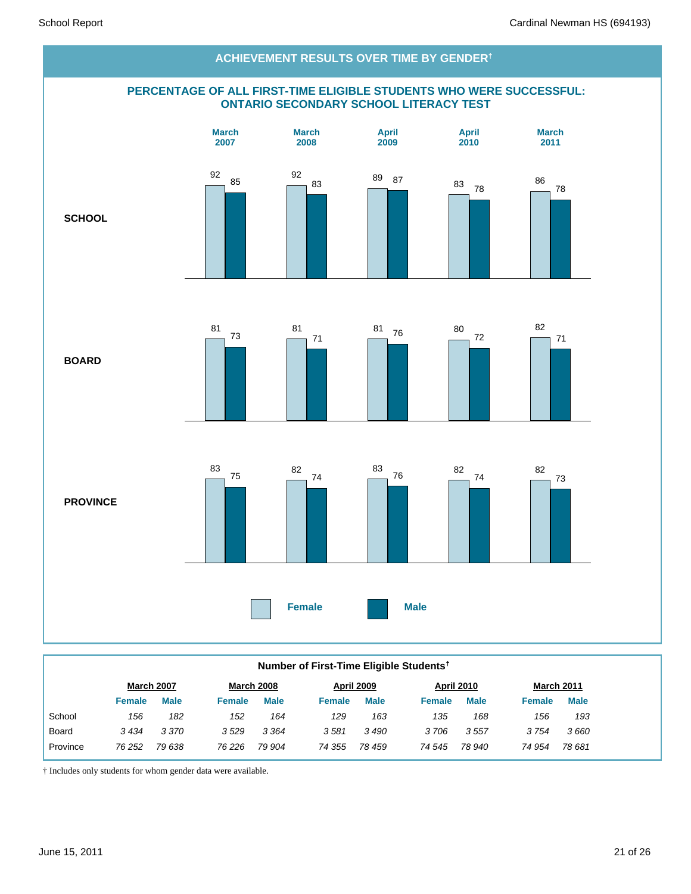

#### **Number of First-Time Eligible Students†**

|          | <b>March 2007</b> |             |               | <b>March 2008</b> |               | April 2009  |               | April 2010  |               | <b>March 2011</b> |
|----------|-------------------|-------------|---------------|-------------------|---------------|-------------|---------------|-------------|---------------|-------------------|
|          | Female            | <b>Male</b> | <b>Female</b> | <b>Male</b>       | <b>Female</b> | <b>Male</b> | <b>Female</b> | <b>Male</b> | <b>Female</b> | <b>Male</b>       |
| School   | 156               | 182         | 152           | 164               | 129           | 163         | 135           | 168         | 156           | 193               |
| Board    | 3434              | 3 3 7 0     | 3529          | 3 3 6 4           | 3581          | 3490        | 3706          | 3557        | 3 754         | 3660              |
| Province | 76 252            | 79 638      | 76 2 26       | 79 904            | 74 355        | 78 459      | 74 545        | 78 940      | 74 954        | 78 681            |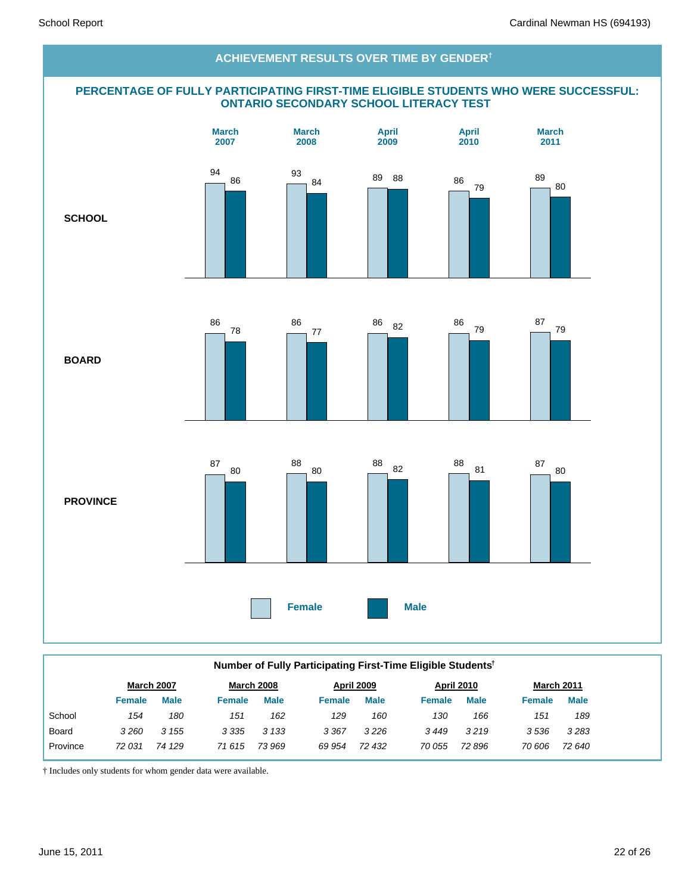

|              | Number of Fully Participating First-Time Eligible Students <sup>†</sup> |                   |               |                   |               |                   |               |                   |               |                   |  |  |
|--------------|-------------------------------------------------------------------------|-------------------|---------------|-------------------|---------------|-------------------|---------------|-------------------|---------------|-------------------|--|--|
|              |                                                                         | <b>March 2007</b> |               | <b>March 2008</b> |               | <b>April 2009</b> |               | <b>April 2010</b> |               | <b>March 2011</b> |  |  |
|              | <b>Female</b>                                                           | <b>Male</b>       | <b>Female</b> | <b>Male</b>       | <b>Female</b> | <b>Male</b>       | <b>Female</b> | <b>Male</b>       | <b>Female</b> | <b>Male</b>       |  |  |
| School       | 154                                                                     | 180               | 151           | 162               | 129           | 160               | 130           | 166               | 151           | 189               |  |  |
| <b>Board</b> | 3260                                                                    | 3 1 5 5           | 3 3 3 5       | 3 1 3 3           | 3 3 6 7       | 3226              | 3449          | 3219              | 3536          | 3283              |  |  |
| Province     | 72 031                                                                  | 74 129            | 71 615        | 73 969            | 69 954        | 72 432            | 70 055        | 72 896            | 70 606        | 72 640            |  |  |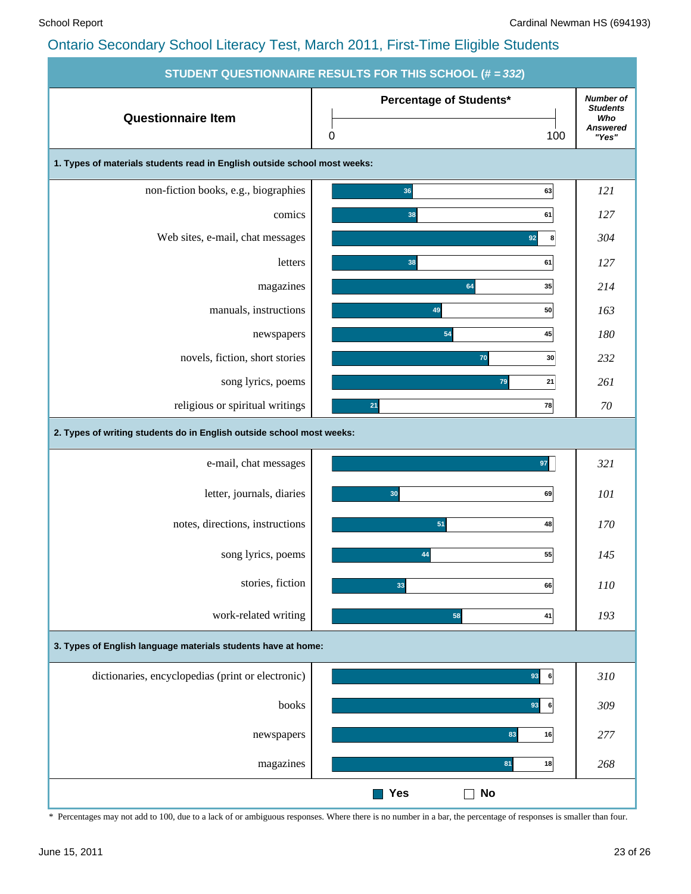|                                                                           | STUDENT QUESTIONNAIRE RESULTS FOR THIS SCHOOL (# = 332) |                                                                        |
|---------------------------------------------------------------------------|---------------------------------------------------------|------------------------------------------------------------------------|
| <b>Questionnaire Item</b>                                                 | Percentage of Students*<br>100<br>0                     | <b>Number of</b><br><b>Students</b><br>Who<br><b>Answered</b><br>"Yes" |
| 1. Types of materials students read in English outside school most weeks: |                                                         |                                                                        |
| non-fiction books, e.g., biographies                                      | 36<br>63                                                | 121                                                                    |
| comics                                                                    | 38<br>61                                                | 127                                                                    |
| Web sites, e-mail, chat messages                                          | 92<br>8                                                 | 304                                                                    |
| letters                                                                   | 38<br>61                                                | 127                                                                    |
| magazines                                                                 | 64<br>35                                                | 214                                                                    |
| manuals, instructions                                                     | 49<br>50                                                | 163                                                                    |
| newspapers                                                                | 45<br>54                                                | 180                                                                    |
| novels, fiction, short stories                                            | 70<br>30                                                | 232                                                                    |
| song lyrics, poems                                                        | 79<br>21                                                | 261                                                                    |
| religious or spiritual writings                                           | 78<br>21                                                | 70                                                                     |
| 2. Types of writing students do in English outside school most weeks:     |                                                         |                                                                        |
| e-mail, chat messages                                                     | 97                                                      | 321                                                                    |
| letter, journals, diaries                                                 | 69<br>30                                                | 101                                                                    |
| notes, directions, instructions                                           | 51<br>48                                                | 170                                                                    |
| song lyrics, poems                                                        | 55<br>44                                                | 145                                                                    |
| stories, fiction                                                          | 33<br>66                                                | 110                                                                    |
| work-related writing                                                      | 58<br>41                                                | 193                                                                    |
| 3. Types of English language materials students have at home:             |                                                         |                                                                        |
| dictionaries, encyclopedias (print or electronic)                         | 93<br>6                                                 | 310                                                                    |
| books                                                                     | 93<br>6                                                 | 309                                                                    |
| newspapers                                                                | 83<br>16                                                | 277                                                                    |
| magazines                                                                 | 81<br>18                                                | 268                                                                    |
|                                                                           | Yes<br>No                                               |                                                                        |

\* Percentages may not add to 100, due to a lack of or ambiguous responses. Where there is no number in a bar, the percentage of responses is smaller than four.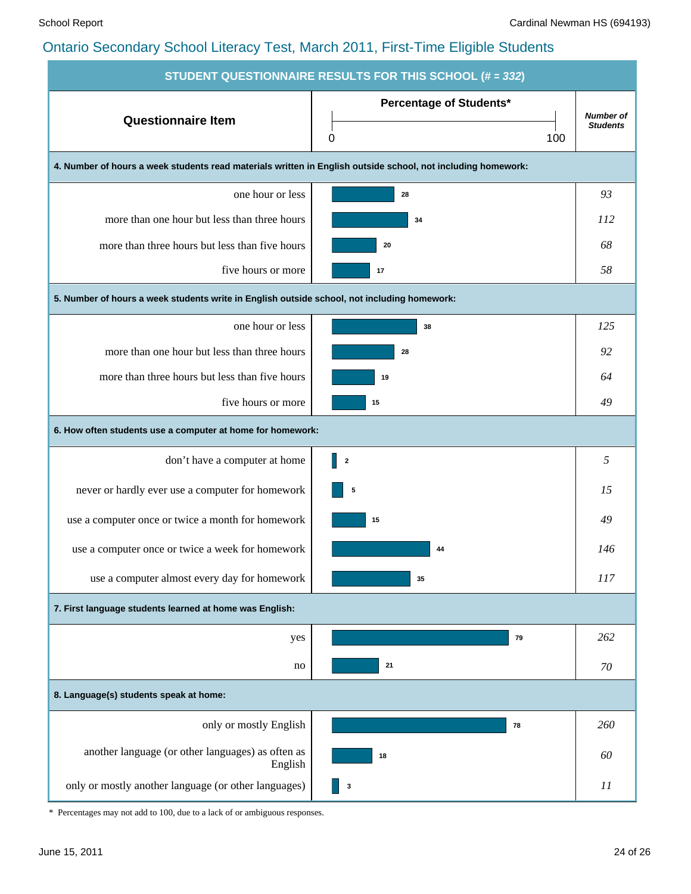| STUDENT QUESTIONNAIRE RESULTS FOR THIS SCHOOL (# = 332)                                                      |                                            |                                     |  |  |  |  |  |  |  |  |
|--------------------------------------------------------------------------------------------------------------|--------------------------------------------|-------------------------------------|--|--|--|--|--|--|--|--|
| <b>Questionnaire Item</b>                                                                                    | <b>Percentage of Students*</b><br>100<br>0 | <b>Number of</b><br><b>Students</b> |  |  |  |  |  |  |  |  |
| 4. Number of hours a week students read materials written in English outside school, not including homework: |                                            |                                     |  |  |  |  |  |  |  |  |
| one hour or less                                                                                             | 28                                         | 93                                  |  |  |  |  |  |  |  |  |
| more than one hour but less than three hours                                                                 | 34                                         | <i>112</i>                          |  |  |  |  |  |  |  |  |
| more than three hours but less than five hours                                                               | 20                                         | 68                                  |  |  |  |  |  |  |  |  |
| five hours or more                                                                                           | 17                                         | 58                                  |  |  |  |  |  |  |  |  |
| 5. Number of hours a week students write in English outside school, not including homework:                  |                                            |                                     |  |  |  |  |  |  |  |  |
| one hour or less                                                                                             | 38                                         | 125                                 |  |  |  |  |  |  |  |  |
| more than one hour but less than three hours                                                                 | 28                                         | 92                                  |  |  |  |  |  |  |  |  |
| more than three hours but less than five hours                                                               | 19                                         | 64                                  |  |  |  |  |  |  |  |  |
| five hours or more                                                                                           | 15                                         | 49                                  |  |  |  |  |  |  |  |  |
| 6. How often students use a computer at home for homework:                                                   |                                            |                                     |  |  |  |  |  |  |  |  |
| don't have a computer at home                                                                                | $\parallel$ 2                              | 5                                   |  |  |  |  |  |  |  |  |
| never or hardly ever use a computer for homework                                                             | 5                                          | 15                                  |  |  |  |  |  |  |  |  |
| use a computer once or twice a month for homework                                                            | 15                                         | 49                                  |  |  |  |  |  |  |  |  |
| use a computer once or twice a week for homework                                                             | 44                                         | 146                                 |  |  |  |  |  |  |  |  |
| use a computer almost every day for homework                                                                 | 35                                         | 117                                 |  |  |  |  |  |  |  |  |
| 7. First language students learned at home was English:                                                      |                                            |                                     |  |  |  |  |  |  |  |  |
| yes                                                                                                          | 79                                         | 262                                 |  |  |  |  |  |  |  |  |
| no                                                                                                           | 21                                         | 70                                  |  |  |  |  |  |  |  |  |
| 8. Language(s) students speak at home:                                                                       |                                            |                                     |  |  |  |  |  |  |  |  |
| only or mostly English                                                                                       | 78                                         | 260                                 |  |  |  |  |  |  |  |  |
| another language (or other languages) as often as<br>English                                                 | 18                                         | 60                                  |  |  |  |  |  |  |  |  |
| only or mostly another language (or other languages)                                                         | 3                                          | 11                                  |  |  |  |  |  |  |  |  |

\* Percentages may not add to 100, due to a lack of or ambiguous responses.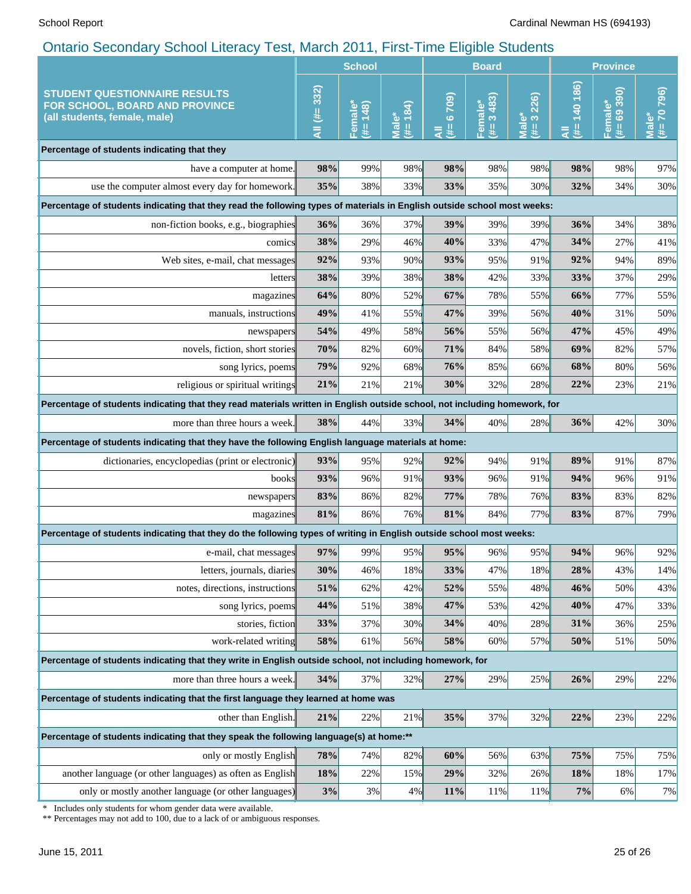|                                                                                                                                            | <b>School</b> |                     | <b>Board</b>         |                    |                              | <b>Province</b>           |                     |                         |                                                |
|--------------------------------------------------------------------------------------------------------------------------------------------|---------------|---------------------|----------------------|--------------------|------------------------------|---------------------------|---------------------|-------------------------|------------------------------------------------|
| <b>STUDENT QUESTIONNAIRE RESULTS</b><br>FOR SCHOOL, BOARD AND PROVINCE<br>(all students, female, male)                                     | All (#= 332)  | Female*<br>(#= 148) | 184)<br>Male'<br>ut. | (602.9)<br>y.<br>₹ | 3483)<br>Femal<br>$\ddot{*}$ | 226)<br>Male*<br>(# $=$ 3 | 140 186)<br>y.<br>₹ | $# = 69 390$<br>Female* | 796)<br>$(# = 70)$<br>$\bar{\bar{\mathbf{z}}}$ |
| Percentage of students indicating that they                                                                                                |               |                     |                      |                    |                              |                           |                     |                         |                                                |
| have a computer at home.                                                                                                                   | 98%           | 99%                 | 98%                  | 98%                | 98%                          | 98%                       | 98%                 | 98%                     | 97%                                            |
| use the computer almost every day for homework.                                                                                            | 35%           | 38%                 | 33%                  | 33%                | 35%                          | 30%                       | 32%                 | 34%                     | 30%                                            |
| Percentage of students indicating that they read the following types of materials in English outside school most weeks:                    |               |                     |                      |                    |                              |                           |                     |                         |                                                |
| non-fiction books, e.g., biographies                                                                                                       | 36%           | 36%                 | 37%                  | 39%                | 39%                          | 39%                       | 36%                 | 34%                     | 38%                                            |
| comics                                                                                                                                     | 38%           | 29%                 | 46%                  | 40%                | 33%                          | 47%                       | 34%                 | 27%                     | 41%                                            |
| Web sites, e-mail, chat messages                                                                                                           | 92%           | 93%                 | 90%                  | 93%                | 95%                          | 91%                       | 92%                 | 94%                     | 89%                                            |
| letters                                                                                                                                    | 38%           | 39%                 | 38%                  | 38%                | 42%                          | 33%                       | 33%                 | 37%                     | 29%                                            |
| magazines                                                                                                                                  | 64%           | 80%                 | 52%                  | 67%                | 78%                          | 55%                       | 66%                 | 77%                     | 55%                                            |
| manuals, instructions                                                                                                                      | 49%           | 41%                 | 55%                  | 47%                | 39%                          | 56%                       | 40%                 | 31%                     | 50%                                            |
| newspapers                                                                                                                                 | 54%           | 49%                 | 58%                  | 56%                | 55%                          | 56%                       | 47%                 | 45%                     | 49%                                            |
| novels, fiction, short stories                                                                                                             | 70%           | 82%                 | 60%                  | 71%                | 84%                          | 58%                       | 69%                 | 82%                     | 57%                                            |
| song lyrics, poems                                                                                                                         | 79%           | 92%                 | 68%                  | 76%                | 85%                          | 66%                       | 68%                 | 80%                     | 56%                                            |
| religious or spiritual writings                                                                                                            | 21%           | 21%                 | 21%                  | 30%                | 32%                          | 28%                       | 22%                 | 23%                     | 21%                                            |
| Percentage of students indicating that they read materials written in English outside school, not including homework, for                  |               |                     |                      |                    |                              |                           |                     |                         |                                                |
| more than three hours a week.                                                                                                              | 38%           | 44%                 | 33%                  | 34%                | 40%                          | 28%                       | 36%                 | 42%                     | 30%                                            |
| Percentage of students indicating that they have the following English language materials at home:                                         |               |                     |                      |                    |                              |                           |                     |                         |                                                |
| dictionaries, encyclopedias (print or electronic)                                                                                          | 93%           | 95%                 | 92%                  | 92%                | 94%                          | 91%                       | 89%                 | 91%                     | 87%                                            |
| books                                                                                                                                      | 93%           | 96%                 | 91%                  | 93%                | 96%                          | 91%                       | 94%                 | 96%                     | 91%                                            |
| newspapers                                                                                                                                 | 83%           | 86%                 | 82%                  | 77%                | 78%                          | 76%                       | 83%                 | 83%                     | 82%                                            |
| magazines                                                                                                                                  | 81%           | 86%                 | 76%                  | 81%                | 84%                          | 77%                       | 83%                 | 87%                     | 79%                                            |
| Percentage of students indicating that they do the following types of writing in English outside school most weeks:                        |               |                     |                      |                    |                              |                           |                     |                         |                                                |
| e-mail, chat messages                                                                                                                      | 97%           | 99%                 | 95%                  | 95%                | 96%                          | 95%                       | 94%                 | 96%                     | 92%                                            |
| letters, journals, diaries                                                                                                                 | 30%           | 46%                 | 18%                  | 33%                | 47%                          | 18%                       | 28%                 | 43%                     | 14%                                            |
| notes, directions, instructions                                                                                                            | 51%           | 62%                 | 42%                  | 52%                | 55%                          | 48%                       | 46%                 | 50%                     | 43%                                            |
| song lyrics, poems                                                                                                                         | 44%           | 51%                 | 38%                  | 47%                | 53%                          | 42%                       | 40%                 | 47%                     | 33%                                            |
| stories, fiction                                                                                                                           | 33%           | 37%                 | 30%                  | 34%                | 40%                          | 28%                       | 31%                 | 36%                     | 25%                                            |
| work-related writing                                                                                                                       | 58%           | 61%                 | 56%                  | 58%                | 60%                          | 57%                       | 50%                 | 51%                     | 50%                                            |
| Percentage of students indicating that they write in English outside school, not including homework, for                                   |               |                     |                      |                    |                              |                           |                     |                         |                                                |
| more than three hours a week.                                                                                                              | 34%           | 37%                 | 32%                  | 27%                | 29%                          | 25%                       | 26%                 | 29%                     | 22%                                            |
| Percentage of students indicating that the first language they learned at home was                                                         |               |                     |                      |                    |                              |                           |                     |                         |                                                |
| other than English.                                                                                                                        | 21%           | 22%                 | 21%                  | 35%                | 37%                          | 32%                       | 22%                 | 23%                     | 22%                                            |
| Percentage of students indicating that they speak the following language(s) at home:**                                                     |               |                     |                      |                    |                              |                           |                     |                         |                                                |
| only or mostly English                                                                                                                     | 78%           | 74%                 | 82%                  | 60%                | 56%                          | 63%                       | 75%                 | 75%                     | 75%                                            |
| another language (or other languages) as often as English                                                                                  | 18%           | 22%                 | 15%                  | 29%                | 32%                          | 26%                       | 18%                 | 18%                     | 17%                                            |
| only or mostly another language (or other languages)                                                                                       | 3%            | $3\%$               | $4\%$                | 11%                | 11%                          | 11%                       | 7%                  | 6%                      | 7%                                             |
| Includes only students for whom gender data were available.<br>** Percentages may not add to 100, due to a lack of or ambiguous responses. |               |                     |                      |                    |                              |                           |                     |                         |                                                |